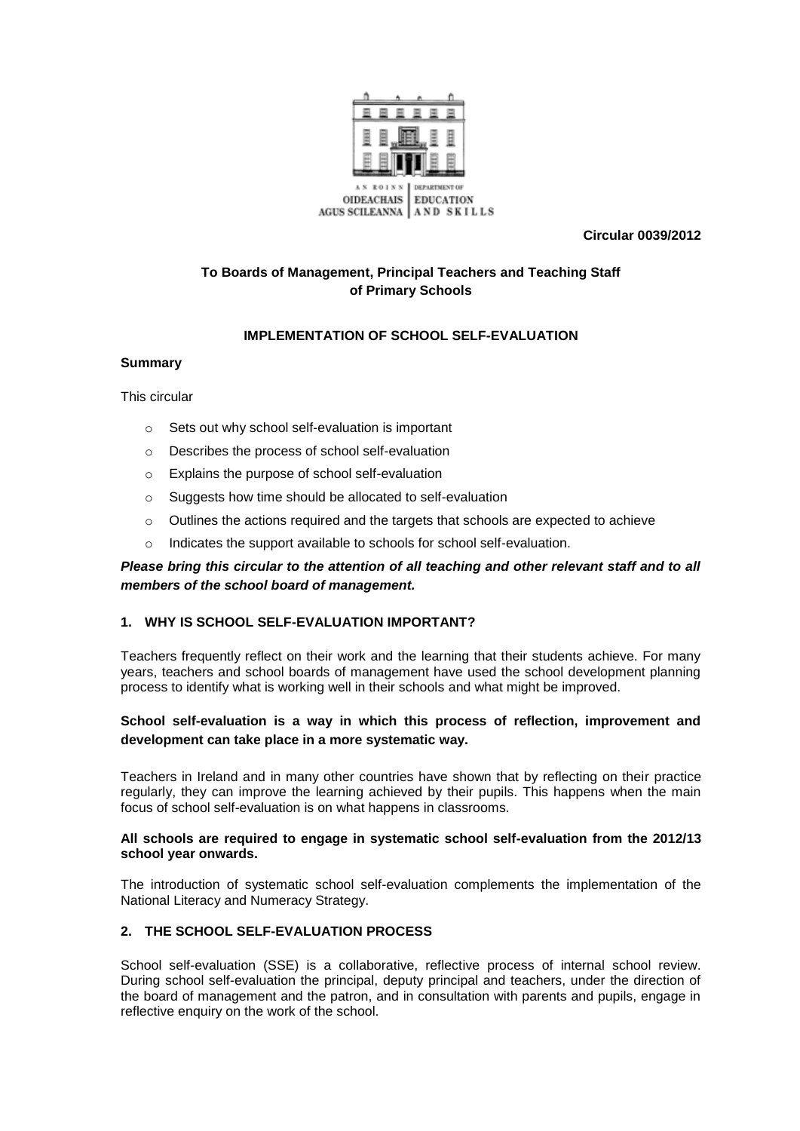

**Circular 0039/2012**

# **To Boards of Management, Principal Teachers and Teaching Staff of Primary Schools**

## **IMPLEMENTATION OF SCHOOL SELF-EVALUATION**

## **Summary**

This circular

- o Sets out why school self-evaluation is important
- o Describes the process of school self-evaluation
- o Explains the purpose of school self-evaluation
- o Suggests how time should be allocated to self-evaluation
- $\circ$  Outlines the actions required and the targets that schools are expected to achieve
- o Indicates the support available to schools for school self-evaluation.

# *Please bring this circular to the attention of all teaching and other relevant staff and to all members of the school board of management.*

#### **1. WHY IS SCHOOL SELF-EVALUATION IMPORTANT?**

Teachers frequently reflect on their work and the learning that their students achieve. For many years, teachers and school boards of management have used the school development planning process to identify what is working well in their schools and what might be improved.

## **School self-evaluation is a way in which this process of reflection, improvement and development can take place in a more systematic way.**

Teachers in Ireland and in many other countries have shown that by reflecting on their practice regularly, they can improve the learning achieved by their pupils. This happens when the main focus of school self-evaluation is on what happens in classrooms.

#### **All schools are required to engage in systematic school self-evaluation from the 2012/13 school year onwards.**

The introduction of systematic school self-evaluation complements the implementation of the National Literacy and Numeracy Strategy.

#### **2. THE SCHOOL SELF-EVALUATION PROCESS**

School self-evaluation (SSE) is a collaborative, reflective process of internal school review. During school self-evaluation the principal, deputy principal and teachers, under the direction of the board of management and the patron, and in consultation with parents and pupils, engage in reflective enquiry on the work of the school.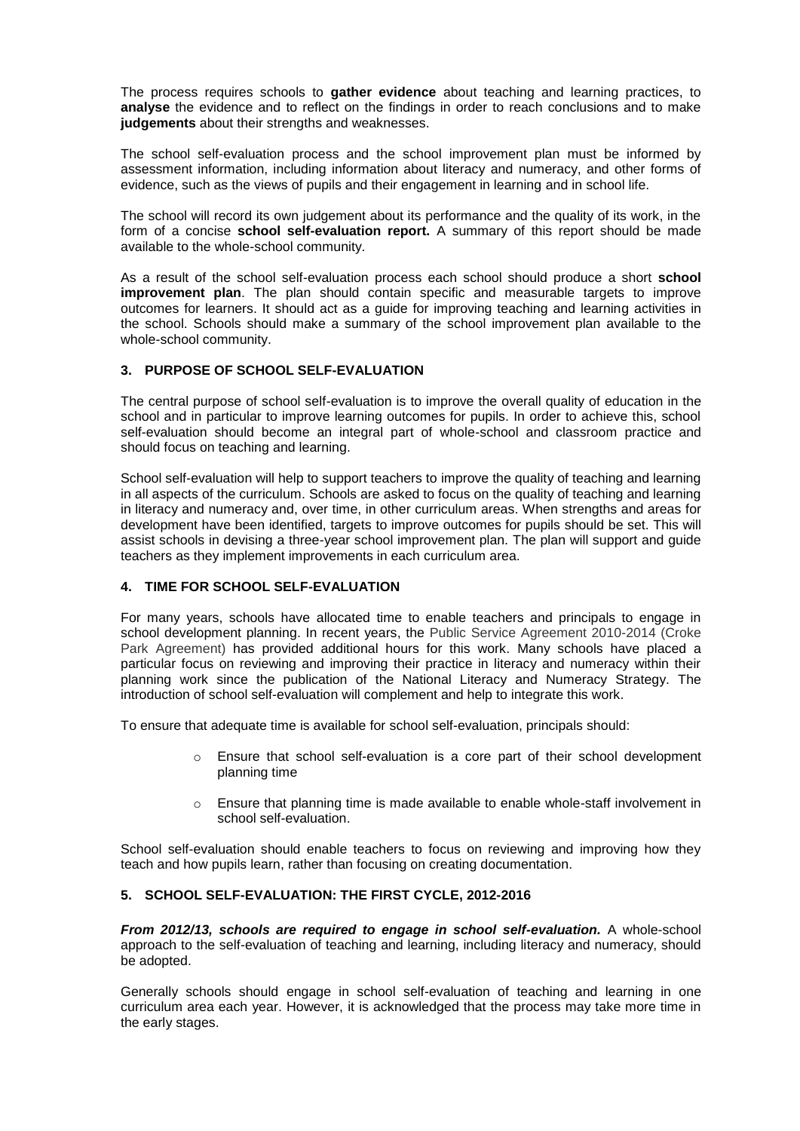The process requires schools to **gather evidence** about teaching and learning practices, to **analyse** the evidence and to reflect on the findings in order to reach conclusions and to make **judgements** about their strengths and weaknesses.

The school self-evaluation process and the school improvement plan must be informed by assessment information, including information about literacy and numeracy, and other forms of evidence, such as the views of pupils and their engagement in learning and in school life.

The school will record its own judgement about its performance and the quality of its work, in the form of a concise **school self-evaluation report.** A summary of this report should be made available to the whole-school community.

As a result of the school self-evaluation process each school should produce a short **school improvement plan**. The plan should contain specific and measurable targets to improve outcomes for learners. It should act as a guide for improving teaching and learning activities in the school. Schools should make a summary of the school improvement plan available to the whole-school community.

#### **3. PURPOSE OF SCHOOL SELF-EVALUATION**

The central purpose of school self-evaluation is to improve the overall quality of education in the school and in particular to improve learning outcomes for pupils. In order to achieve this, school self-evaluation should become an integral part of whole-school and classroom practice and should focus on teaching and learning.

School self-evaluation will help to support teachers to improve the quality of teaching and learning in all aspects of the curriculum. Schools are asked to focus on the quality of teaching and learning in literacy and numeracy and, over time, in other curriculum areas. When strengths and areas for development have been identified, targets to improve outcomes for pupils should be set. This will assist schools in devising a three-year school improvement plan. The plan will support and guide teachers as they implement improvements in each curriculum area.

## **4. TIME FOR SCHOOL SELF-EVALUATION**

For many years, schools have allocated time to enable teachers and principals to engage in school development planning. In recent years, the Public Service Agreement 2010-2014 (Croke Park Agreement) has provided additional hours for this work. Many schools have placed a particular focus on reviewing and improving their practice in literacy and numeracy within their planning work since the publication of the National Literacy and Numeracy Strategy. The introduction of school self-evaluation will complement and help to integrate this work.

To ensure that adequate time is available for school self-evaluation, principals should:

- o Ensure that school self-evaluation is a core part of their school development planning time
- $\circ$  Ensure that planning time is made available to enable whole-staff involvement in school self-evaluation.

School self-evaluation should enable teachers to focus on reviewing and improving how they teach and how pupils learn, rather than focusing on creating documentation.

#### **5. SCHOOL SELF-EVALUATION: THE FIRST CYCLE, 2012-2016**

*From 2012/13, schools are required to engage in school self-evaluation.* A whole-school approach to the self-evaluation of teaching and learning, including literacy and numeracy, should be adopted.

Generally schools should engage in school self-evaluation of teaching and learning in one curriculum area each year. However, it is acknowledged that the process may take more time in the early stages.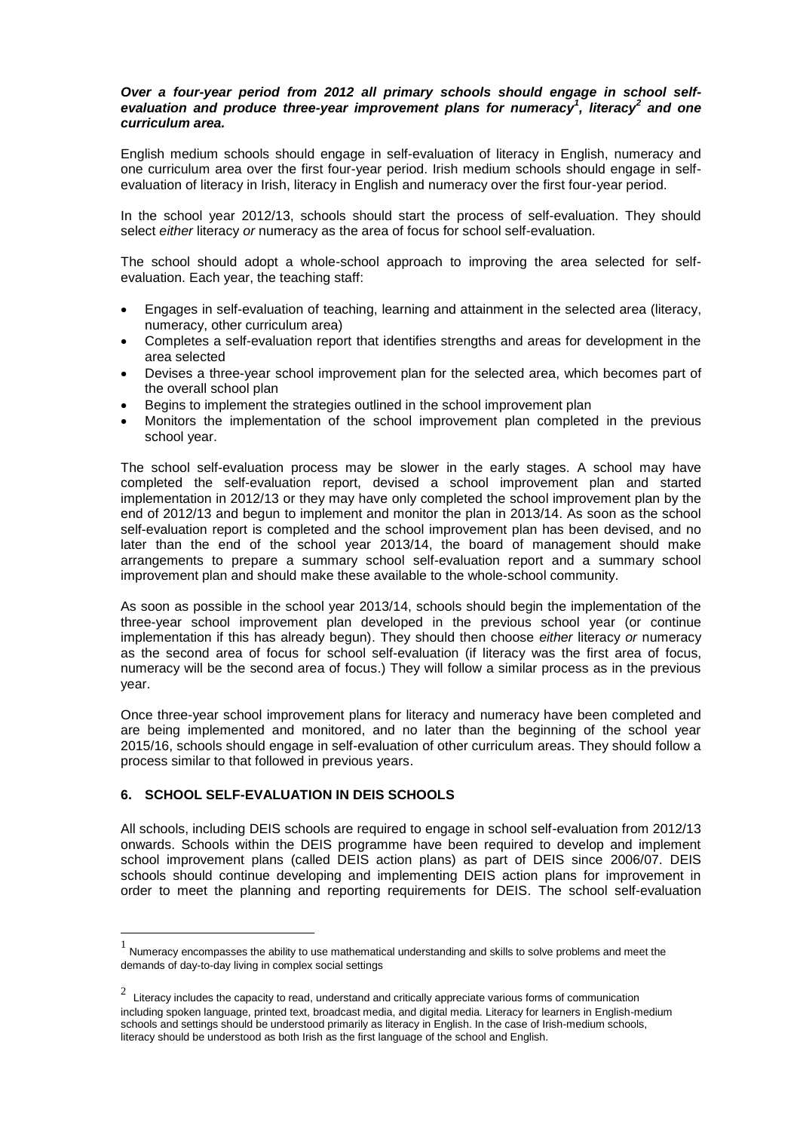#### *Over a four-year period from 2012 all primary schools should engage in school self*evaluation and produce three-year improvement plans for numeracy<sup>1</sup>, literacy<sup>2</sup> and one *curriculum area.*

English medium schools should engage in self-evaluation of literacy in English, numeracy and one curriculum area over the first four-year period. Irish medium schools should engage in selfevaluation of literacy in Irish, literacy in English and numeracy over the first four-year period.

In the school year 2012/13, schools should start the process of self-evaluation. They should select *either* literacy *or* numeracy as the area of focus for school self-evaluation.

The school should adopt a whole-school approach to improving the area selected for selfevaluation. Each year, the teaching staff:

- Engages in self-evaluation of teaching, learning and attainment in the selected area (literacy, numeracy, other curriculum area)
- Completes a self-evaluation report that identifies strengths and areas for development in the area selected
- Devises a three-year school improvement plan for the selected area, which becomes part of the overall school plan
- Begins to implement the strategies outlined in the school improvement plan
- Monitors the implementation of the school improvement plan completed in the previous school year.

The school self-evaluation process may be slower in the early stages. A school may have completed the self-evaluation report, devised a school improvement plan and started implementation in 2012/13 or they may have only completed the school improvement plan by the end of 2012/13 and begun to implement and monitor the plan in 2013/14. As soon as the school self-evaluation report is completed and the school improvement plan has been devised, and no later than the end of the school year 2013/14, the board of management should make arrangements to prepare a summary school self-evaluation report and a summary school improvement plan and should make these available to the whole-school community.

As soon as possible in the school year 2013/14, schools should begin the implementation of the three-year school improvement plan developed in the previous school year (or continue implementation if this has already begun). They should then choose *either* literacy *or* numeracy as the second area of focus for school self-evaluation (if literacy was the first area of focus, numeracy will be the second area of focus.) They will follow a similar process as in the previous year.

Once three-year school improvement plans for literacy and numeracy have been completed and are being implemented and monitored, and no later than the beginning of the school year 2015/16, schools should engage in self-evaluation of other curriculum areas. They should follow a process similar to that followed in previous years.

#### **6. SCHOOL SELF-EVALUATION IN DEIS SCHOOLS**

 $\overline{a}$ 

All schools, including DEIS schools are required to engage in school self-evaluation from 2012/13 onwards. Schools within the DEIS programme have been required to develop and implement school improvement plans (called DEIS action plans) as part of DEIS since 2006/07. DEIS schools should continue developing and implementing DEIS action plans for improvement in order to meet the planning and reporting requirements for DEIS. The school self-evaluation

 $<sup>1</sup>$  Numeracy encompasses the ability to use mathematical understanding and skills to solve problems and meet the</sup> demands of day-to-day living in complex social settings

 $2$  Literacy includes the capacity to read, understand and critically appreciate various forms of communication including spoken language, printed text, broadcast media, and digital media. Literacy for learners in English-medium schools and settings should be understood primarily as literacy in English. In the case of Irish-medium schools, literacy should be understood as both Irish as the first language of the school and English.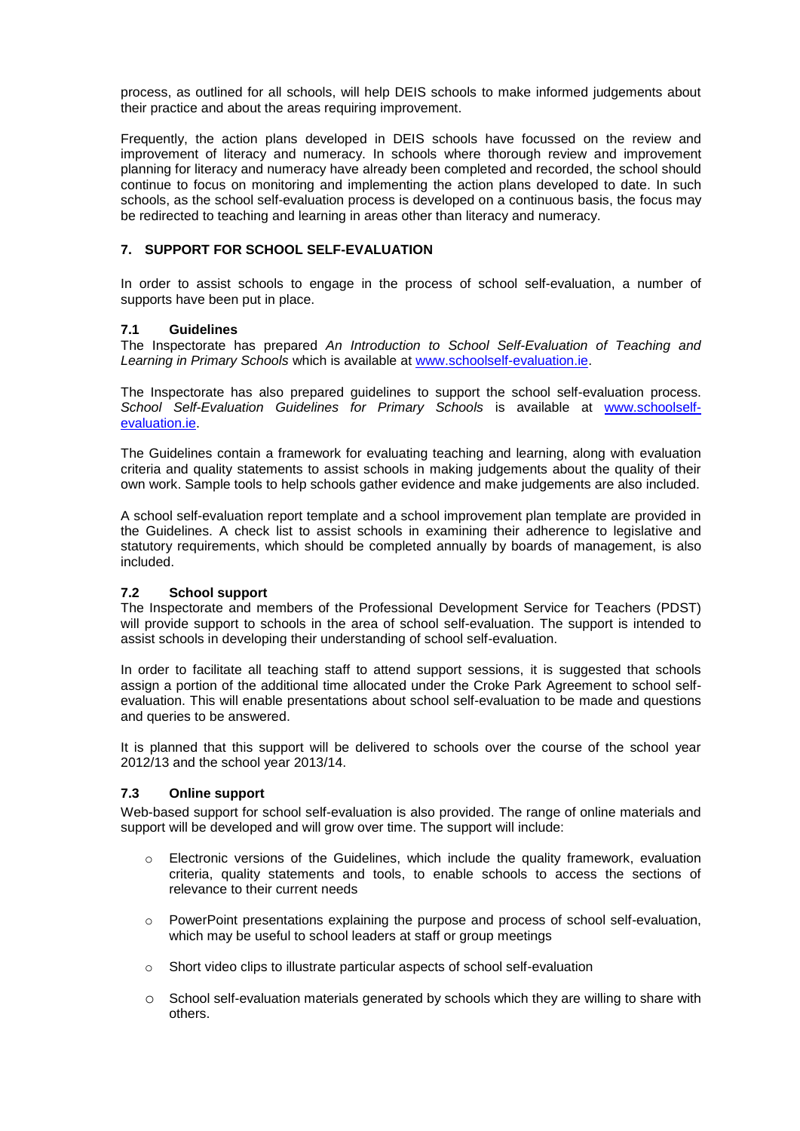process, as outlined for all schools, will help DEIS schools to make informed judgements about their practice and about the areas requiring improvement.

Frequently, the action plans developed in DEIS schools have focussed on the review and improvement of literacy and numeracy. In schools where thorough review and improvement planning for literacy and numeracy have already been completed and recorded, the school should continue to focus on monitoring and implementing the action plans developed to date. In such schools, as the school self-evaluation process is developed on a continuous basis, the focus may be redirected to teaching and learning in areas other than literacy and numeracy.

## **7. SUPPORT FOR SCHOOL SELF-EVALUATION**

In order to assist schools to engage in the process of school self-evaluation, a number of supports have been put in place.

## **7.1 Guidelines**

The Inspectorate has prepared *An Introduction to School Self-Evaluation of Teaching and Learning in Primary Schools* which is available at [www.schoolself-evaluation.ie.](http://www.schoolself-evaluation.ie/)

The Inspectorate has also prepared guidelines to support the school self-evaluation process. *School Self-Evaluation Guidelines for Primary Schools* is available at [www.schoolself](http://www.schoolself-evaluation.ie/)[evaluation.ie.](http://www.schoolself-evaluation.ie/)

The Guidelines contain a framework for evaluating teaching and learning, along with evaluation criteria and quality statements to assist schools in making judgements about the quality of their own work. Sample tools to help schools gather evidence and make judgements are also included.

A school self-evaluation report template and a school improvement plan template are provided in the Guidelines. A check list to assist schools in examining their adherence to legislative and statutory requirements, which should be completed annually by boards of management, is also included.

## **7.2 School support**

The Inspectorate and members of the Professional Development Service for Teachers (PDST) will provide support to schools in the area of school self-evaluation. The support is intended to assist schools in developing their understanding of school self-evaluation.

In order to facilitate all teaching staff to attend support sessions, it is suggested that schools assign a portion of the additional time allocated under the Croke Park Agreement to school selfevaluation. This will enable presentations about school self-evaluation to be made and questions and queries to be answered.

It is planned that this support will be delivered to schools over the course of the school year 2012/13 and the school year 2013/14.

## **7.3 Online support**

Web-based support for school self-evaluation is also provided. The range of online materials and support will be developed and will grow over time. The support will include:

- o Electronic versions of the Guidelines, which include the quality framework, evaluation criteria, quality statements and tools, to enable schools to access the sections of relevance to their current needs
- $\circ$  PowerPoint presentations explaining the purpose and process of school self-evaluation, which may be useful to school leaders at staff or group meetings
- o Short video clips to illustrate particular aspects of school self-evaluation
- o School self-evaluation materials generated by schools which they are willing to share with others.